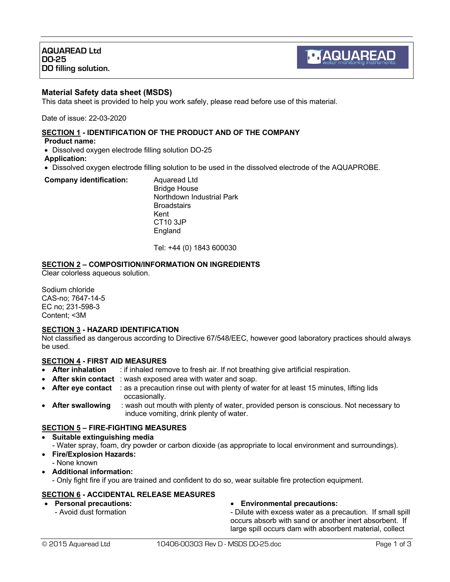## **Material Safety data sheet (MSDS)**

This data sheet is provided to help you work safely, please read before use of this material.

Date of issue: 22-03-2020

### **SECTION 1 - IDENTIFICATION OF THE PRODUCT AND OF THE COMPANY**

**Product name:**

- Dissolved oxygen electrode filling solution DO-25
- **Application:**
- Dissolved oxygen electrode filling solution to be used in the dissolved electrode of the AQUAPROBE.

#### **Company identification:** Aquaread Ltd

Bridge House Northdown Industrial Park **Broadstairs** Kent CT10 3JP England

Tel: +44 (0) 1843 600030

## **SECTION 2 – COMPOSITION/INFORMATION ON INGREDIENTS**

Clear colorless aqueous solution.

Sodium chloride CAS-no; 7647-14-5 EC no; 231-598-3 Content; <3M

### **SECTION 3 - HAZARD IDENTIFICATION**

Not classified as dangerous according to Directive 67/548/EEC, however good laboratory practices should always be used.

## **SECTION 4 - FIRST AID MEASURES**

- **After inhalation** : if inhaled remove to fresh air. If not breathing give artificial respiration.
- **After skin contact**: wash exposed area with water and soap.
- **After eye contact** : as a precaution rinse out with plenty of water for at least 15 minutes, lifting lids occasionally.
- **After swallowing** : wash out mouth with plenty of water, provided person is conscious. Not necessary to induce vomiting, drink plenty of water.

## **SECTION 5 – FIRE-FIGHTING MEASURES**

- **Suitable extinguishing media**
- Water spray, foam, dry powder or carbon dioxide (as appropriate to local environment and surroundings).
- **Fire/Explosion Hazards:**
	- None known
- **Additional information:**
	- Only fight fire if you are trained and confident to do so, wear suitable fire protection equipment.

### **SECTION 6 - ACCIDENTAL RELEASE MEASURES**

- **Personal precautions:**
	- Avoid dust formation

### • **Environmental precautions:**

- Dilute with excess water as a precaution. If small spill occurs absorb with sand or another inert absorbent. If large spill occurs dam with absorbent material, collect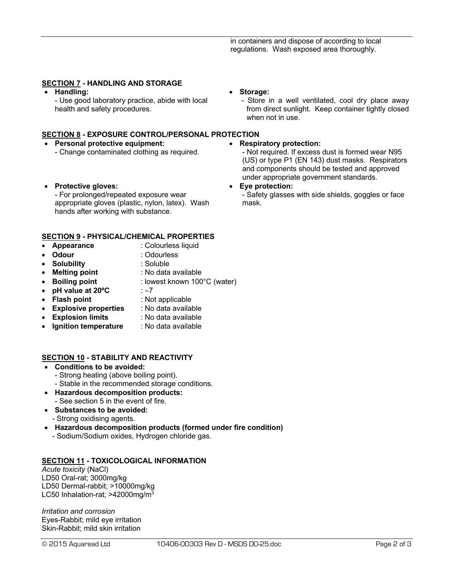## **SECTION 7 - HANDLING AND STORAGE**

• **Handling:**

- Use good laboratory practice, abide with local health and safety procedures.

### **SECTION 8 - EXPOSURE CONTROL/PERSONAL PROTECTION**

- **Personal protective equipment:** - Change contaminated clothing as required.
- **Protective gloves:**

- For prolonged/repeated exposure wear appropriate gloves (plastic, nylon, latex). Wash hands after working with substance.

## **SECTION 9 - PHYSICAL/CHEMICAL PROPERTIES**

- **Appearance** : Colourless liquid<br> **Odour** : Odourless
- **Odour** : Odourless
- **Solubility** : Soluble
- **Melting point** : No data available
- **Boiling point** : lowest known 100°C (water)
- **pH value at 20ºC** : ~7
- **Flash point** : Not applicable
	-
- **Explosive properties** : No data available
- **Explosion limits** : No data available
- **Ignition temperature** : No data available

### **SECTION 10 - STABILITY AND REACTIVITY**

- **Conditions to be avoided:**
	- Strong heating (above boiling point).
	- Stable in the recommended storage conditions.
- **Hazardous decomposition products:** - See section 5 in the event of fire.
- **Substances to be avoided:**
- Strong oxidising agents.
- **Hazardous decomposition products (formed under fire condition)** - Sodium/Sodium oxides, Hydrogen chloride gas.

## **SECTION 11 - TOXICOLOGICAL INFORMATION**

*Acute toxicity* (NaCl) LD50 Oral-rat; 3000mg/kg LD50 Dermal-rabbit; >10000mg/kg LC50 Inhalation-rat; >42000mg/m<sup>3</sup>

*Irritation and corrosion* Eyes-Rabbit; mild eye irritation Skin-Rabbit; mild skin irritation

- **Storage:**
	- Store in a well ventilated, cool dry place away from direct sunlight. Keep container tightly closed when not in use.
- **Respiratory protection:**

- Not required. If excess dust is formed wear N95 (US) or type P1 (EN 143) dust masks. Respirators and components should be tested and approved under appropriate government standards.

#### • **Eye protection:**

- Safety glasses with side shields, goggles or face mask.